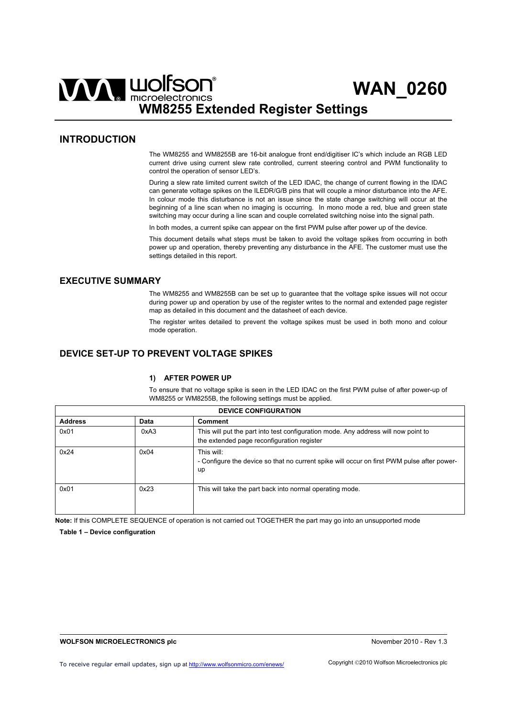# WAN WOLFSON<sup>®</sup> WAN 0260 **WM8255 Extended Register Settings**

# **INTRODUCTION**

The WM8255 and WM8255B are 16-bit analogue front end/digitiser IC's which include an RGB LED current drive using current slew rate controlled, current steering control and PWM functionality to control the operation of sensor LED's.

During a slew rate limited current switch of the LED IDAC, the change of current flowing in the IDAC can generate voltage spikes on the ILEDR/G/B pins that will couple a minor disturbance into the AFE. In colour mode this disturbance is not an issue since the state change switching will occur at the beginning of a line scan when no imaging is occurring. In mono mode a red, blue and green state switching may occur during a line scan and couple correlated switching noise into the signal path.

In both modes, a current spike can appear on the first PWM pulse after power up of the device.

This document details what steps must be taken to avoid the voltage spikes from occurring in both power up and operation, thereby preventing any disturbance in the AFE. The customer must use the settings detailed in this report.

# **EXECUTIVE SUMMARY**

The WM8255 and WM8255B can be set up to guarantee that the voltage spike issues will not occur during power up and operation by use of the register writes to the normal and extended page register map as detailed in this document and the datasheet of each device.

The register writes detailed to prevent the voltage spikes must be used in both mono and colour mode operation.

# **DEVICE SET-UP TO PREVENT VOLTAGE SPIKES**

### **1) AFTER POWER UP**

To ensure that no voltage spike is seen in the LED IDAC on the first PWM pulse of after power-up of WM8255 or WM8255B, the following settings must be applied.

| <b>DEVICE CONFIGURATION</b> |      |                                                                                                                                  |  |  |
|-----------------------------|------|----------------------------------------------------------------------------------------------------------------------------------|--|--|
| <b>Address</b>              | Data | Comment                                                                                                                          |  |  |
| 0x01                        | 0xA3 | This will put the part into test configuration mode. Any address will now point to<br>the extended page reconfiguration register |  |  |
| 0x24                        | 0x04 | This will:<br>- Configure the device so that no current spike will occur on first PWM pulse after power-<br>up                   |  |  |
| 0x01                        | 0x23 | This will take the part back into normal operating mode.                                                                         |  |  |

**Note:** If this COMPLETE SEQUENCE of operation is not carried out TOGETHER the part may go into an unsupported mode

**Table 1 – Device configuration**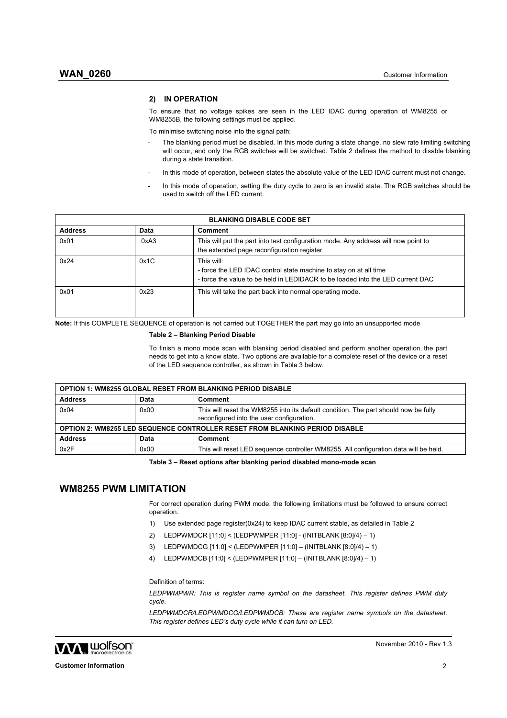## **2) IN OPERATION**

To ensure that no voltage spikes are seen in the LED IDAC during operation of WM8255 or WM8255B, the following settings must be applied.

To minimise switching noise into the signal path:

- The blanking period must be disabled. In this mode during a state change, no slew rate limiting switching will occur, and only the RGB switches will be switched. Table 2 defines the method to disable blanking during a state transition.
- In this mode of operation, between states the absolute value of the LED IDAC current must not change.
- In this mode of operation, setting the duty cycle to zero is an invalid state. The RGB switches should be used to switch off the LED current.

| <b>BLANKING DISABLE CODE SET</b> |      |                                                                                                                                                                   |  |
|----------------------------------|------|-------------------------------------------------------------------------------------------------------------------------------------------------------------------|--|
| <b>Address</b>                   | Data | Comment                                                                                                                                                           |  |
| 0x01                             | 0xA3 | This will put the part into test configuration mode. Any address will now point to<br>the extended page reconfiguration register                                  |  |
| 0x24                             | 0x1C | This will:<br>- force the LED IDAC control state machine to stay on at all time<br>- force the value to be held in LEDIDACR to be loaded into the LED current DAC |  |
| 0x01                             | 0x23 | This will take the part back into normal operating mode.                                                                                                          |  |

**Note:** If this COMPLETE SEQUENCE of operation is not carried out TOGETHER the part may go into an unsupported mode

#### **Table 2 – Blanking Period Disable**

To finish a mono mode scan with blanking period disabled and perform another operation, the part needs to get into a know state. Two options are available for a complete reset of the device or a reset of the LED sequence controller, as shown in Table 3 below.

| <b>OPTION 1: WM8255 GLOBAL RESET FROM BLANKING PERIOD DISABLE</b>                  |      |                                                                                                                                  |  |  |
|------------------------------------------------------------------------------------|------|----------------------------------------------------------------------------------------------------------------------------------|--|--|
| <b>Address</b>                                                                     | Data | Comment                                                                                                                          |  |  |
| 0x04                                                                               | 0x00 | This will reset the WM8255 into its default condition. The part should now be fully<br>reconfigured into the user configuration. |  |  |
| <b>OPTION 2: WM8255 LED SEQUENCE CONTROLLER RESET FROM BLANKING PERIOD DISABLE</b> |      |                                                                                                                                  |  |  |
| <b>Address</b>                                                                     | Data | Comment                                                                                                                          |  |  |
| 0x2F                                                                               | 0x00 | This will reset LED sequence controller WM8255. All configuration data will be held.                                             |  |  |

**Table 3 – Reset options after blanking period disabled mono-mode scan** 

## **WM8255 PWM LIMITATION**

For correct operation during PWM mode, the following limitations must be followed to ensure correct operation.

- 1) Use extended page register(0x24) to keep IDAC current stable, as detailed in Table 2
- 2) LEDPWMDCR [11:0] < (LEDPWMPER [11:0] (INITBLANK [8:0]/4) 1)
- 3) LEDPWMDCG [11:0] < (LEDPWMPER [11:0] (INITBLANK [8:0]/4) 1)
- 4) LEDPWMDCB [11:0] < (LEDPWMPER [11:0] (INITBLANK [8:0]/4) 1)

Definition of terms:

*LEDPWMPWR: This is register name symbol on the datasheet. This register defines PWM duty cycle.* 

*LEDPWMDCR/LEDPWMDCG/LEDPWMDCB: These are register name symbols on the datasheet. This register defines LED's duty cycle while it can turn on LED.* 

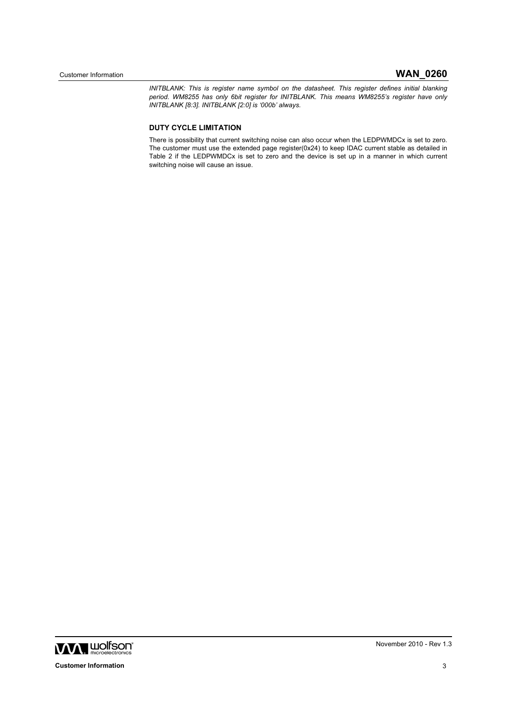*INITBLANK: This is register name symbol on the datasheet. This register defines initial blanking period. WM8255 has only 6bit register for INITBLANK. This means WM8255's register have only INITBLANK [8:3]. INITBLANK [2:0] is '000b' always.*

## **DUTY CYCLE LIMITATION**

There is possibility that current switching noise can also occur when the LEDPWMDCx is set to zero. The customer must use the extended page register(0x24) to keep IDAC current stable as detailed in Table 2 if the LEDPWMDCx is set to zero and the device is set up in a manner in which current switching noise will cause an issue.

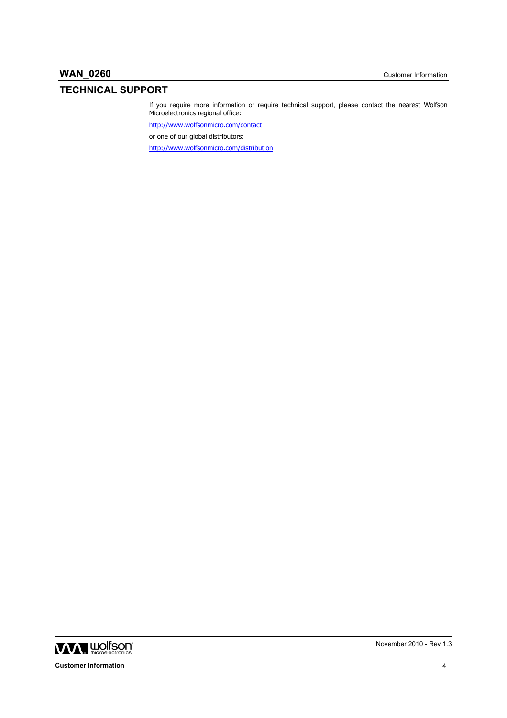# **TECHNICAL SUPPORT**

If you require more information or require technical support, please contact the nearest Wolfson Microelectronics regional office:

http://www.wolfsonmicro.com/contact

or one of our global distributors:

http://www.wolfsonmicro.com/distribution